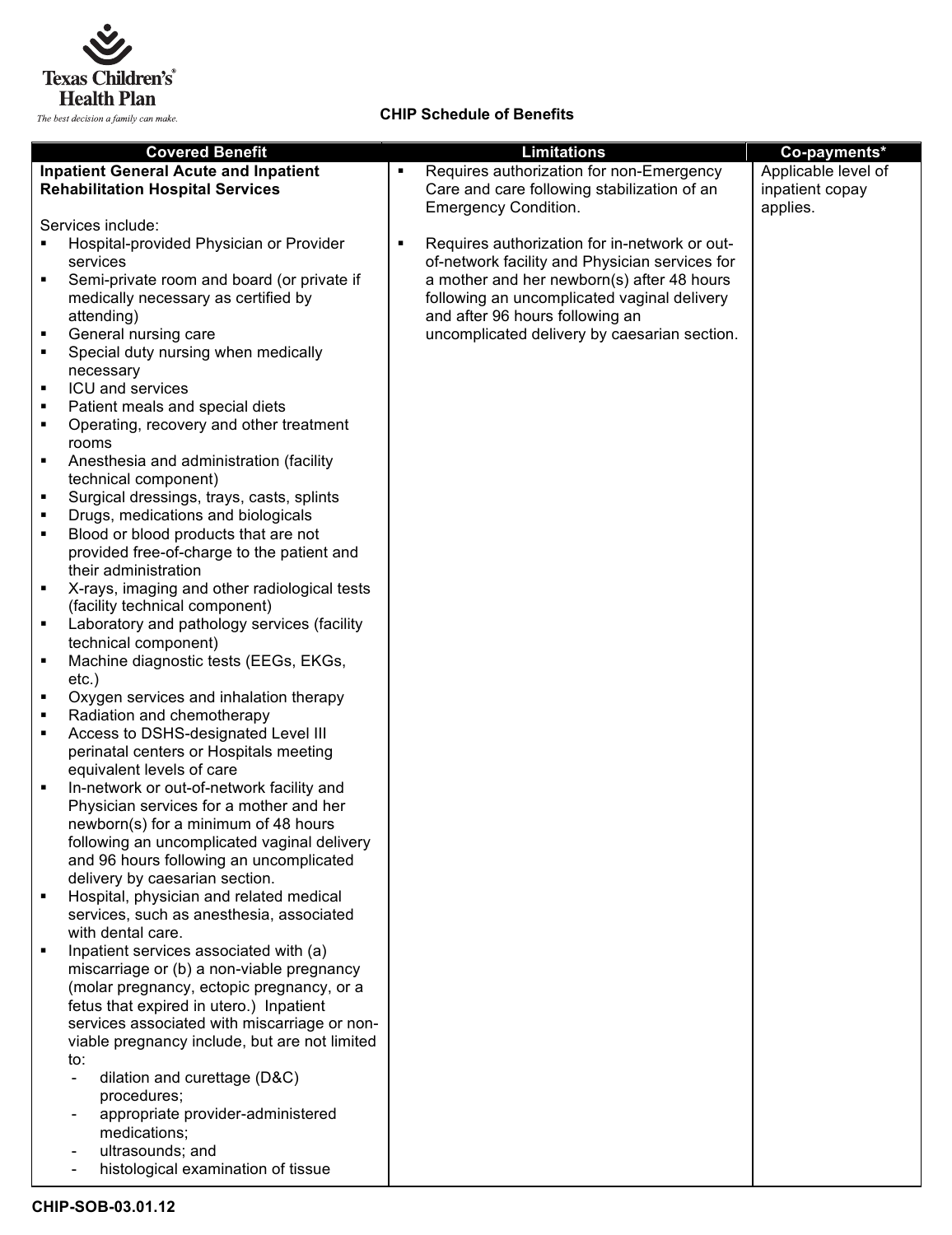

**CHIP Schedule of Benefits**

|                | <b>Covered Benefit</b>                         |   | <b>Limitations</b>                             | Co-payments*        |
|----------------|------------------------------------------------|---|------------------------------------------------|---------------------|
|                | <b>Inpatient General Acute and Inpatient</b>   |   | Requires authorization for non-Emergency       | Applicable level of |
|                | <b>Rehabilitation Hospital Services</b>        |   | Care and care following stabilization of an    | inpatient copay     |
|                |                                                |   | <b>Emergency Condition.</b>                    | applies.            |
|                | Services include:                              |   |                                                |                     |
|                | Hospital-provided Physician or Provider        | ٠ | Requires authorization for in-network or out-  |                     |
|                | services                                       |   | of-network facility and Physician services for |                     |
| $\blacksquare$ | Semi-private room and board (or private if     |   | a mother and her newborn(s) after 48 hours     |                     |
|                | medically necessary as certified by            |   | following an uncomplicated vaginal delivery    |                     |
|                |                                                |   | and after 96 hours following an                |                     |
|                | attending)                                     |   |                                                |                     |
| ٠              | General nursing care                           |   | uncomplicated delivery by caesarian section.   |                     |
| ٠              | Special duty nursing when medically            |   |                                                |                     |
|                | necessary                                      |   |                                                |                     |
| ٠              | ICU and services                               |   |                                                |                     |
| ٠              | Patient meals and special diets                |   |                                                |                     |
| $\blacksquare$ | Operating, recovery and other treatment        |   |                                                |                     |
|                | rooms                                          |   |                                                |                     |
| ٠              | Anesthesia and administration (facility        |   |                                                |                     |
|                | technical component)                           |   |                                                |                     |
| ٠              | Surgical dressings, trays, casts, splints      |   |                                                |                     |
| п              | Drugs, medications and biologicals             |   |                                                |                     |
| ٠              | Blood or blood products that are not           |   |                                                |                     |
|                | provided free-of-charge to the patient and     |   |                                                |                     |
|                | their administration                           |   |                                                |                     |
| ٠              | X-rays, imaging and other radiological tests   |   |                                                |                     |
|                | (facility technical component)                 |   |                                                |                     |
| ٠              | Laboratory and pathology services (facility    |   |                                                |                     |
|                | technical component)                           |   |                                                |                     |
| ٠              | Machine diagnostic tests (EEGs, EKGs,          |   |                                                |                     |
|                | $etc.$ )                                       |   |                                                |                     |
| ٠              | Oxygen services and inhalation therapy         |   |                                                |                     |
| ٠              | Radiation and chemotherapy                     |   |                                                |                     |
| ٠              | Access to DSHS-designated Level III            |   |                                                |                     |
|                | perinatal centers or Hospitals meeting         |   |                                                |                     |
|                | equivalent levels of care                      |   |                                                |                     |
| ٠              | In-network or out-of-network facility and      |   |                                                |                     |
|                | Physician services for a mother and her        |   |                                                |                     |
|                | newborn(s) for a minimum of 48 hours           |   |                                                |                     |
|                | following an uncomplicated vaginal delivery    |   |                                                |                     |
|                | and 96 hours following an uncomplicated        |   |                                                |                     |
|                | delivery by caesarian section.                 |   |                                                |                     |
|                | Hospital, physician and related medical        |   |                                                |                     |
|                | services, such as anesthesia, associated       |   |                                                |                     |
|                | with dental care.                              |   |                                                |                     |
| ٠              | Inpatient services associated with (a)         |   |                                                |                     |
|                | miscarriage or (b) a non-viable pregnancy      |   |                                                |                     |
|                | (molar pregnancy, ectopic pregnancy, or a      |   |                                                |                     |
|                | fetus that expired in utero.) Inpatient        |   |                                                |                     |
|                | services associated with miscarriage or non-   |   |                                                |                     |
|                | viable pregnancy include, but are not limited  |   |                                                |                     |
|                | to:                                            |   |                                                |                     |
|                | dilation and curettage (D&C)<br>$\blacksquare$ |   |                                                |                     |
|                | procedures;                                    |   |                                                |                     |
|                | appropriate provider-administered              |   |                                                |                     |
|                | medications;                                   |   |                                                |                     |
|                | ultrasounds; and                               |   |                                                |                     |
|                | histological examination of tissue             |   |                                                |                     |
|                |                                                |   |                                                |                     |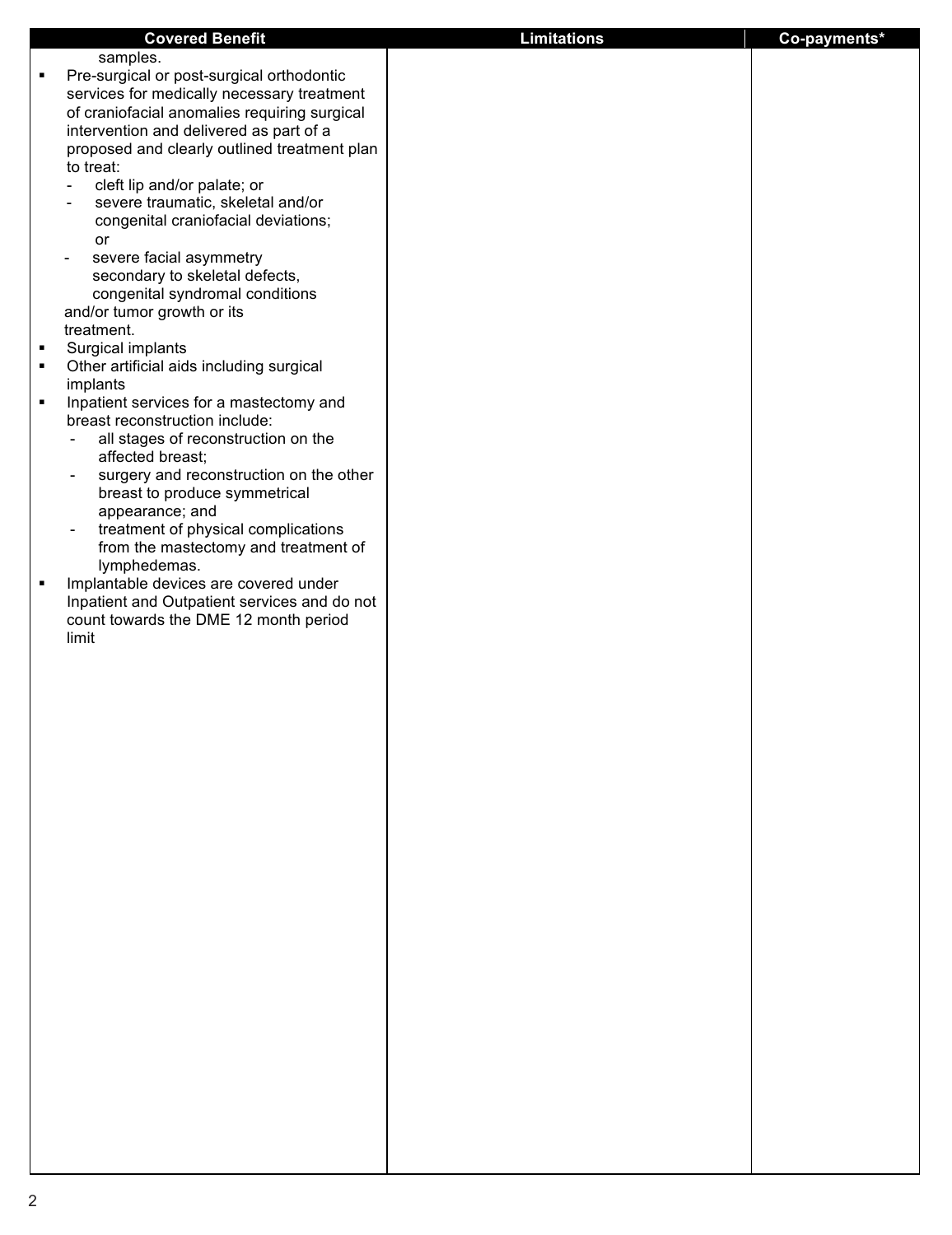| samples.<br>Pre-surgical or post-surgical orthodontic<br>services for medically necessary treatment<br>of craniofacial anomalies requiring surgical<br>intervention and delivered as part of a<br>proposed and clearly outlined treatment plan<br>to treat:<br>cleft lip and/or palate; or<br>severe traumatic, skeletal and/or<br>$\overline{\phantom{a}}$<br>congenital craniofacial deviations;<br>or<br>severe facial asymmetry<br>$\overline{\phantom{a}}$<br>secondary to skeletal defects,<br>congenital syndromal conditions<br>and/or tumor growth or its<br>treatment.<br>Surgical implants<br>Other artificial aids including surgical<br>implants<br>Inpatient services for a mastectomy and<br>breast reconstruction include:<br>all stages of reconstruction on the<br>affected breast;<br>surgery and reconstruction on the other<br>$\overline{\phantom{a}}$<br>breast to produce symmetrical<br>appearance; and<br>treatment of physical complications<br>$\overline{\phantom{a}}$<br>from the mastectomy and treatment of<br>lymphedemas.<br>Implantable devices are covered under<br>Inpatient and Outpatient services and do not<br>count towards the DME 12 month period<br>limit |   | <b>Covered Benefit</b> | <b>Limitations</b> | Co-payments* |
|--------------------------------------------------------------------------------------------------------------------------------------------------------------------------------------------------------------------------------------------------------------------------------------------------------------------------------------------------------------------------------------------------------------------------------------------------------------------------------------------------------------------------------------------------------------------------------------------------------------------------------------------------------------------------------------------------------------------------------------------------------------------------------------------------------------------------------------------------------------------------------------------------------------------------------------------------------------------------------------------------------------------------------------------------------------------------------------------------------------------------------------------------------------------------------------------------------|---|------------------------|--------------------|--------------|
|                                                                                                                                                                                                                                                                                                                                                                                                                                                                                                                                                                                                                                                                                                                                                                                                                                                                                                                                                                                                                                                                                                                                                                                                        |   |                        |                    |              |
|                                                                                                                                                                                                                                                                                                                                                                                                                                                                                                                                                                                                                                                                                                                                                                                                                                                                                                                                                                                                                                                                                                                                                                                                        | ٠ |                        |                    |              |
|                                                                                                                                                                                                                                                                                                                                                                                                                                                                                                                                                                                                                                                                                                                                                                                                                                                                                                                                                                                                                                                                                                                                                                                                        |   |                        |                    |              |
|                                                                                                                                                                                                                                                                                                                                                                                                                                                                                                                                                                                                                                                                                                                                                                                                                                                                                                                                                                                                                                                                                                                                                                                                        |   |                        |                    |              |
|                                                                                                                                                                                                                                                                                                                                                                                                                                                                                                                                                                                                                                                                                                                                                                                                                                                                                                                                                                                                                                                                                                                                                                                                        |   |                        |                    |              |
|                                                                                                                                                                                                                                                                                                                                                                                                                                                                                                                                                                                                                                                                                                                                                                                                                                                                                                                                                                                                                                                                                                                                                                                                        |   |                        |                    |              |
|                                                                                                                                                                                                                                                                                                                                                                                                                                                                                                                                                                                                                                                                                                                                                                                                                                                                                                                                                                                                                                                                                                                                                                                                        |   |                        |                    |              |
|                                                                                                                                                                                                                                                                                                                                                                                                                                                                                                                                                                                                                                                                                                                                                                                                                                                                                                                                                                                                                                                                                                                                                                                                        |   |                        |                    |              |
|                                                                                                                                                                                                                                                                                                                                                                                                                                                                                                                                                                                                                                                                                                                                                                                                                                                                                                                                                                                                                                                                                                                                                                                                        |   |                        |                    |              |
|                                                                                                                                                                                                                                                                                                                                                                                                                                                                                                                                                                                                                                                                                                                                                                                                                                                                                                                                                                                                                                                                                                                                                                                                        |   |                        |                    |              |
|                                                                                                                                                                                                                                                                                                                                                                                                                                                                                                                                                                                                                                                                                                                                                                                                                                                                                                                                                                                                                                                                                                                                                                                                        |   |                        |                    |              |
|                                                                                                                                                                                                                                                                                                                                                                                                                                                                                                                                                                                                                                                                                                                                                                                                                                                                                                                                                                                                                                                                                                                                                                                                        |   |                        |                    |              |
|                                                                                                                                                                                                                                                                                                                                                                                                                                                                                                                                                                                                                                                                                                                                                                                                                                                                                                                                                                                                                                                                                                                                                                                                        |   |                        |                    |              |
|                                                                                                                                                                                                                                                                                                                                                                                                                                                                                                                                                                                                                                                                                                                                                                                                                                                                                                                                                                                                                                                                                                                                                                                                        |   |                        |                    |              |
|                                                                                                                                                                                                                                                                                                                                                                                                                                                                                                                                                                                                                                                                                                                                                                                                                                                                                                                                                                                                                                                                                                                                                                                                        |   |                        |                    |              |
|                                                                                                                                                                                                                                                                                                                                                                                                                                                                                                                                                                                                                                                                                                                                                                                                                                                                                                                                                                                                                                                                                                                                                                                                        | ٠ |                        |                    |              |
|                                                                                                                                                                                                                                                                                                                                                                                                                                                                                                                                                                                                                                                                                                                                                                                                                                                                                                                                                                                                                                                                                                                                                                                                        | ٠ |                        |                    |              |
|                                                                                                                                                                                                                                                                                                                                                                                                                                                                                                                                                                                                                                                                                                                                                                                                                                                                                                                                                                                                                                                                                                                                                                                                        |   |                        |                    |              |
|                                                                                                                                                                                                                                                                                                                                                                                                                                                                                                                                                                                                                                                                                                                                                                                                                                                                                                                                                                                                                                                                                                                                                                                                        |   |                        |                    |              |
|                                                                                                                                                                                                                                                                                                                                                                                                                                                                                                                                                                                                                                                                                                                                                                                                                                                                                                                                                                                                                                                                                                                                                                                                        |   |                        |                    |              |
|                                                                                                                                                                                                                                                                                                                                                                                                                                                                                                                                                                                                                                                                                                                                                                                                                                                                                                                                                                                                                                                                                                                                                                                                        |   |                        |                    |              |
|                                                                                                                                                                                                                                                                                                                                                                                                                                                                                                                                                                                                                                                                                                                                                                                                                                                                                                                                                                                                                                                                                                                                                                                                        |   |                        |                    |              |
|                                                                                                                                                                                                                                                                                                                                                                                                                                                                                                                                                                                                                                                                                                                                                                                                                                                                                                                                                                                                                                                                                                                                                                                                        |   |                        |                    |              |
|                                                                                                                                                                                                                                                                                                                                                                                                                                                                                                                                                                                                                                                                                                                                                                                                                                                                                                                                                                                                                                                                                                                                                                                                        |   |                        |                    |              |
|                                                                                                                                                                                                                                                                                                                                                                                                                                                                                                                                                                                                                                                                                                                                                                                                                                                                                                                                                                                                                                                                                                                                                                                                        |   |                        |                    |              |
|                                                                                                                                                                                                                                                                                                                                                                                                                                                                                                                                                                                                                                                                                                                                                                                                                                                                                                                                                                                                                                                                                                                                                                                                        |   |                        |                    |              |
|                                                                                                                                                                                                                                                                                                                                                                                                                                                                                                                                                                                                                                                                                                                                                                                                                                                                                                                                                                                                                                                                                                                                                                                                        |   |                        |                    |              |
|                                                                                                                                                                                                                                                                                                                                                                                                                                                                                                                                                                                                                                                                                                                                                                                                                                                                                                                                                                                                                                                                                                                                                                                                        | ٠ |                        |                    |              |
|                                                                                                                                                                                                                                                                                                                                                                                                                                                                                                                                                                                                                                                                                                                                                                                                                                                                                                                                                                                                                                                                                                                                                                                                        |   |                        |                    |              |
|                                                                                                                                                                                                                                                                                                                                                                                                                                                                                                                                                                                                                                                                                                                                                                                                                                                                                                                                                                                                                                                                                                                                                                                                        |   |                        |                    |              |
|                                                                                                                                                                                                                                                                                                                                                                                                                                                                                                                                                                                                                                                                                                                                                                                                                                                                                                                                                                                                                                                                                                                                                                                                        |   |                        |                    |              |
|                                                                                                                                                                                                                                                                                                                                                                                                                                                                                                                                                                                                                                                                                                                                                                                                                                                                                                                                                                                                                                                                                                                                                                                                        |   |                        |                    |              |
|                                                                                                                                                                                                                                                                                                                                                                                                                                                                                                                                                                                                                                                                                                                                                                                                                                                                                                                                                                                                                                                                                                                                                                                                        |   |                        |                    |              |
|                                                                                                                                                                                                                                                                                                                                                                                                                                                                                                                                                                                                                                                                                                                                                                                                                                                                                                                                                                                                                                                                                                                                                                                                        |   |                        |                    |              |
|                                                                                                                                                                                                                                                                                                                                                                                                                                                                                                                                                                                                                                                                                                                                                                                                                                                                                                                                                                                                                                                                                                                                                                                                        |   |                        |                    |              |
|                                                                                                                                                                                                                                                                                                                                                                                                                                                                                                                                                                                                                                                                                                                                                                                                                                                                                                                                                                                                                                                                                                                                                                                                        |   |                        |                    |              |
|                                                                                                                                                                                                                                                                                                                                                                                                                                                                                                                                                                                                                                                                                                                                                                                                                                                                                                                                                                                                                                                                                                                                                                                                        |   |                        |                    |              |
|                                                                                                                                                                                                                                                                                                                                                                                                                                                                                                                                                                                                                                                                                                                                                                                                                                                                                                                                                                                                                                                                                                                                                                                                        |   |                        |                    |              |
|                                                                                                                                                                                                                                                                                                                                                                                                                                                                                                                                                                                                                                                                                                                                                                                                                                                                                                                                                                                                                                                                                                                                                                                                        |   |                        |                    |              |
|                                                                                                                                                                                                                                                                                                                                                                                                                                                                                                                                                                                                                                                                                                                                                                                                                                                                                                                                                                                                                                                                                                                                                                                                        |   |                        |                    |              |
|                                                                                                                                                                                                                                                                                                                                                                                                                                                                                                                                                                                                                                                                                                                                                                                                                                                                                                                                                                                                                                                                                                                                                                                                        |   |                        |                    |              |
|                                                                                                                                                                                                                                                                                                                                                                                                                                                                                                                                                                                                                                                                                                                                                                                                                                                                                                                                                                                                                                                                                                                                                                                                        |   |                        |                    |              |
|                                                                                                                                                                                                                                                                                                                                                                                                                                                                                                                                                                                                                                                                                                                                                                                                                                                                                                                                                                                                                                                                                                                                                                                                        |   |                        |                    |              |
|                                                                                                                                                                                                                                                                                                                                                                                                                                                                                                                                                                                                                                                                                                                                                                                                                                                                                                                                                                                                                                                                                                                                                                                                        |   |                        |                    |              |
|                                                                                                                                                                                                                                                                                                                                                                                                                                                                                                                                                                                                                                                                                                                                                                                                                                                                                                                                                                                                                                                                                                                                                                                                        |   |                        |                    |              |
|                                                                                                                                                                                                                                                                                                                                                                                                                                                                                                                                                                                                                                                                                                                                                                                                                                                                                                                                                                                                                                                                                                                                                                                                        |   |                        |                    |              |
|                                                                                                                                                                                                                                                                                                                                                                                                                                                                                                                                                                                                                                                                                                                                                                                                                                                                                                                                                                                                                                                                                                                                                                                                        |   |                        |                    |              |
|                                                                                                                                                                                                                                                                                                                                                                                                                                                                                                                                                                                                                                                                                                                                                                                                                                                                                                                                                                                                                                                                                                                                                                                                        |   |                        |                    |              |
|                                                                                                                                                                                                                                                                                                                                                                                                                                                                                                                                                                                                                                                                                                                                                                                                                                                                                                                                                                                                                                                                                                                                                                                                        |   |                        |                    |              |
|                                                                                                                                                                                                                                                                                                                                                                                                                                                                                                                                                                                                                                                                                                                                                                                                                                                                                                                                                                                                                                                                                                                                                                                                        |   |                        |                    |              |
|                                                                                                                                                                                                                                                                                                                                                                                                                                                                                                                                                                                                                                                                                                                                                                                                                                                                                                                                                                                                                                                                                                                                                                                                        |   |                        |                    |              |
|                                                                                                                                                                                                                                                                                                                                                                                                                                                                                                                                                                                                                                                                                                                                                                                                                                                                                                                                                                                                                                                                                                                                                                                                        |   |                        |                    |              |
|                                                                                                                                                                                                                                                                                                                                                                                                                                                                                                                                                                                                                                                                                                                                                                                                                                                                                                                                                                                                                                                                                                                                                                                                        |   |                        |                    |              |
|                                                                                                                                                                                                                                                                                                                                                                                                                                                                                                                                                                                                                                                                                                                                                                                                                                                                                                                                                                                                                                                                                                                                                                                                        |   |                        |                    |              |
|                                                                                                                                                                                                                                                                                                                                                                                                                                                                                                                                                                                                                                                                                                                                                                                                                                                                                                                                                                                                                                                                                                                                                                                                        |   |                        |                    |              |
|                                                                                                                                                                                                                                                                                                                                                                                                                                                                                                                                                                                                                                                                                                                                                                                                                                                                                                                                                                                                                                                                                                                                                                                                        |   |                        |                    |              |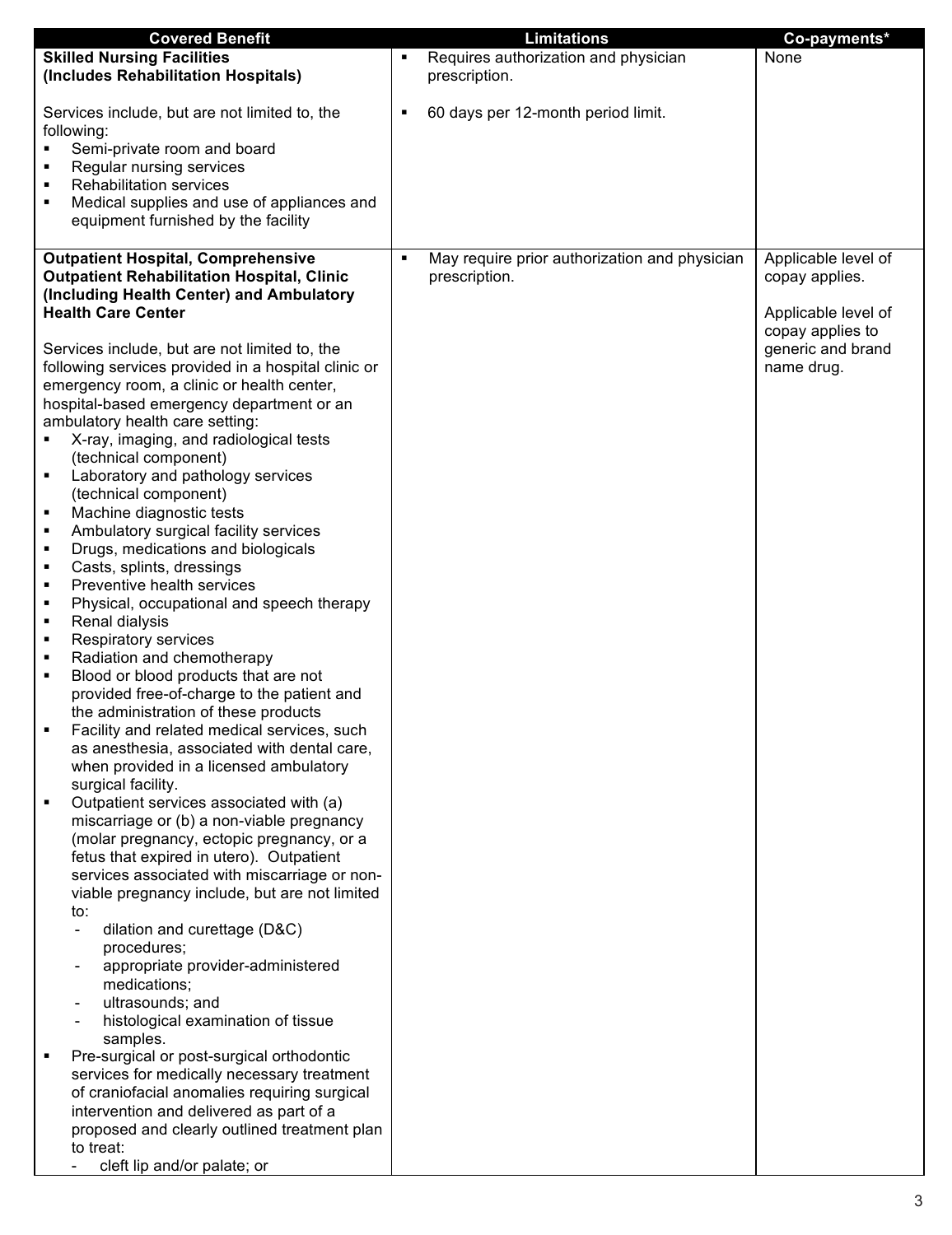| <b>Covered Benefit</b>                                   | <b>Limitations</b>                                 | Co-payments*        |
|----------------------------------------------------------|----------------------------------------------------|---------------------|
| <b>Skilled Nursing Facilities</b>                        | Requires authorization and physician               | None                |
| (Includes Rehabilitation Hospitals)                      | prescription.                                      |                     |
|                                                          |                                                    |                     |
|                                                          |                                                    |                     |
| Services include, but are not limited to, the            | 60 days per 12-month period limit.<br>٠            |                     |
| following:                                               |                                                    |                     |
| Semi-private room and board                              |                                                    |                     |
| Regular nursing services                                 |                                                    |                     |
| <b>Rehabilitation services</b>                           |                                                    |                     |
|                                                          |                                                    |                     |
| Medical supplies and use of appliances and               |                                                    |                     |
| equipment furnished by the facility                      |                                                    |                     |
|                                                          |                                                    |                     |
| <b>Outpatient Hospital, Comprehensive</b>                | May require prior authorization and physician<br>٠ | Applicable level of |
| <b>Outpatient Rehabilitation Hospital, Clinic</b>        | prescription.                                      | copay applies.      |
| (Including Health Center) and Ambulatory                 |                                                    |                     |
|                                                          |                                                    |                     |
| <b>Health Care Center</b>                                |                                                    | Applicable level of |
|                                                          |                                                    | copay applies to    |
| Services include, but are not limited to, the            |                                                    | generic and brand   |
| following services provided in a hospital clinic or      |                                                    | name drug.          |
| emergency room, a clinic or health center,               |                                                    |                     |
| hospital-based emergency department or an                |                                                    |                     |
| ambulatory health care setting:                          |                                                    |                     |
|                                                          |                                                    |                     |
| X-ray, imaging, and radiological tests                   |                                                    |                     |
| (technical component)                                    |                                                    |                     |
| Laboratory and pathology services<br>٠                   |                                                    |                     |
| (technical component)                                    |                                                    |                     |
| Machine diagnostic tests                                 |                                                    |                     |
| Ambulatory surgical facility services<br>٠               |                                                    |                     |
| Drugs, medications and biologicals<br>٠                  |                                                    |                     |
|                                                          |                                                    |                     |
| Casts, splints, dressings<br>٠                           |                                                    |                     |
| Preventive health services<br>٠                          |                                                    |                     |
| Physical, occupational and speech therapy<br>٠           |                                                    |                     |
| Renal dialysis<br>٠                                      |                                                    |                     |
| Respiratory services<br>٠                                |                                                    |                     |
| Radiation and chemotherapy<br>٠                          |                                                    |                     |
| Blood or blood products that are not<br>٠                |                                                    |                     |
| provided free-of-charge to the patient and               |                                                    |                     |
|                                                          |                                                    |                     |
| the administration of these products                     |                                                    |                     |
| Facility and related medical services, such              |                                                    |                     |
| as anesthesia, associated with dental care,              |                                                    |                     |
| when provided in a licensed ambulatory                   |                                                    |                     |
| surgical facility.                                       |                                                    |                     |
| Outpatient services associated with (a)                  |                                                    |                     |
| miscarriage or (b) a non-viable pregnancy                |                                                    |                     |
| (molar pregnancy, ectopic pregnancy, or a                |                                                    |                     |
|                                                          |                                                    |                     |
| fetus that expired in utero). Outpatient                 |                                                    |                     |
| services associated with miscarriage or non-             |                                                    |                     |
| viable pregnancy include, but are not limited            |                                                    |                     |
| to:                                                      |                                                    |                     |
| dilation and curettage (D&C)<br>$\overline{\phantom{0}}$ |                                                    |                     |
| procedures;                                              |                                                    |                     |
| appropriate provider-administered                        |                                                    |                     |
| medications;                                             |                                                    |                     |
| ultrasounds; and                                         |                                                    |                     |
| $\overline{\phantom{0}}$                                 |                                                    |                     |
| histological examination of tissue                       |                                                    |                     |
| samples.                                                 |                                                    |                     |
| Pre-surgical or post-surgical orthodontic                |                                                    |                     |
| services for medically necessary treatment               |                                                    |                     |
| of craniofacial anomalies requiring surgical             |                                                    |                     |
| intervention and delivered as part of a                  |                                                    |                     |
| proposed and clearly outlined treatment plan             |                                                    |                     |
| to treat:                                                |                                                    |                     |
|                                                          |                                                    |                     |
| cleft lip and/or palate; or                              |                                                    |                     |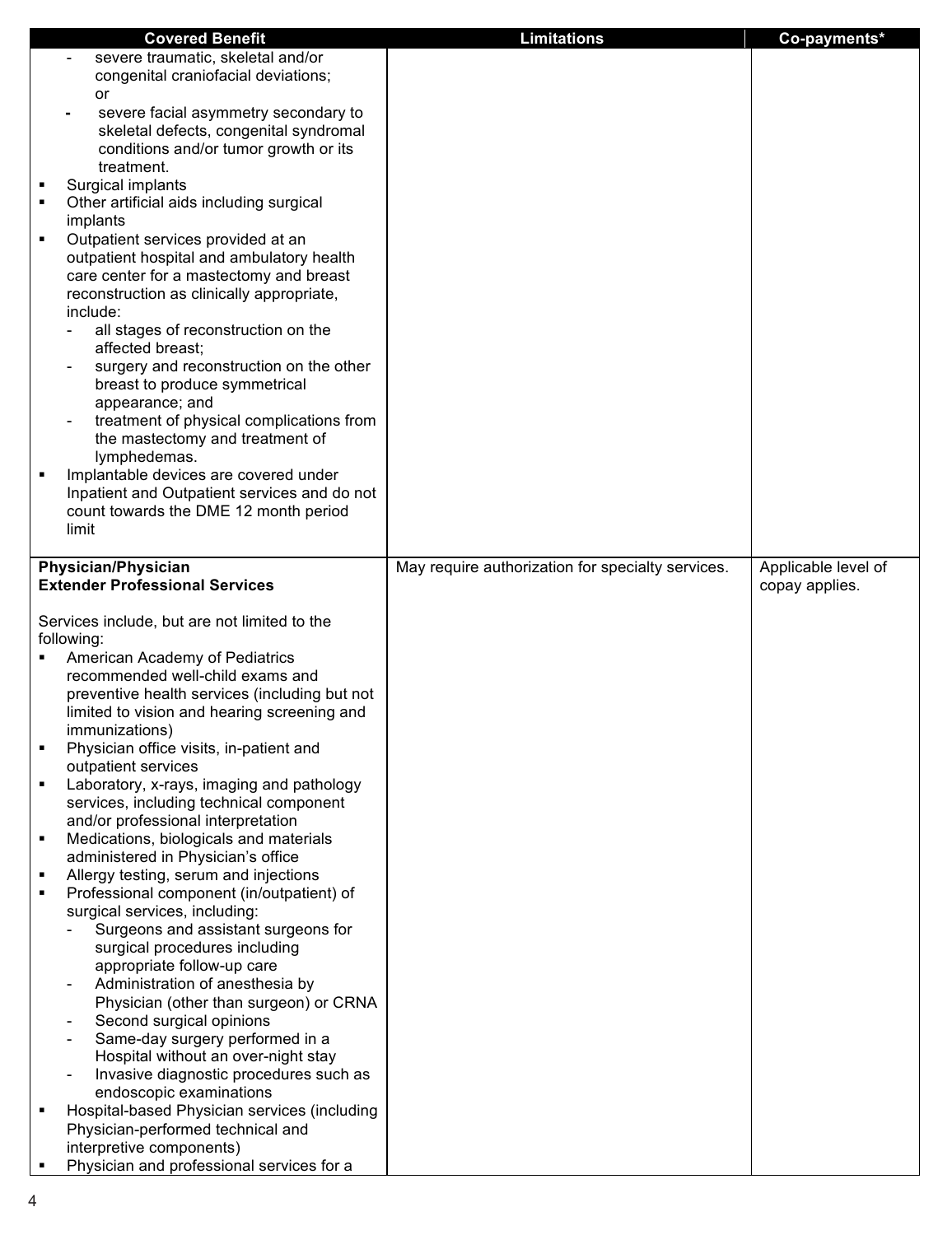|   | <b>Covered Benefit</b>                                                               | <b>Limitations</b>                                | Co-payments*        |
|---|--------------------------------------------------------------------------------------|---------------------------------------------------|---------------------|
|   | severe traumatic, skeletal and/or                                                    |                                                   |                     |
|   | congenital craniofacial deviations;                                                  |                                                   |                     |
|   | <b>or</b>                                                                            |                                                   |                     |
|   | severe facial asymmetry secondary to                                                 |                                                   |                     |
|   | skeletal defects, congenital syndromal                                               |                                                   |                     |
|   | conditions and/or tumor growth or its                                                |                                                   |                     |
|   | treatment.                                                                           |                                                   |                     |
| ٠ | Surgical implants                                                                    |                                                   |                     |
|   | Other artificial aids including surgical                                             |                                                   |                     |
|   | implants                                                                             |                                                   |                     |
|   | Outpatient services provided at an                                                   |                                                   |                     |
|   | outpatient hospital and ambulatory health                                            |                                                   |                     |
|   | care center for a mastectomy and breast                                              |                                                   |                     |
|   | reconstruction as clinically appropriate,                                            |                                                   |                     |
|   | include:                                                                             |                                                   |                     |
|   | all stages of reconstruction on the                                                  |                                                   |                     |
|   | affected breast;                                                                     |                                                   |                     |
|   | surgery and reconstruction on the other                                              |                                                   |                     |
|   | breast to produce symmetrical                                                        |                                                   |                     |
|   | appearance; and                                                                      |                                                   |                     |
|   | treatment of physical complications from                                             |                                                   |                     |
|   | the mastectomy and treatment of                                                      |                                                   |                     |
|   | lymphedemas.                                                                         |                                                   |                     |
| в | Implantable devices are covered under                                                |                                                   |                     |
|   | Inpatient and Outpatient services and do not                                         |                                                   |                     |
|   | count towards the DME 12 month period                                                |                                                   |                     |
|   | limit                                                                                |                                                   |                     |
|   |                                                                                      |                                                   |                     |
|   | <b>Physician/Physician</b>                                                           | May require authorization for specialty services. | Applicable level of |
|   | <b>Extender Professional Services</b>                                                |                                                   | copay applies.      |
|   |                                                                                      |                                                   |                     |
|   | Services include, but are not limited to the                                         |                                                   |                     |
|   | following:                                                                           |                                                   |                     |
|   | American Academy of Pediatrics                                                       |                                                   |                     |
|   | recommended well-child exams and                                                     |                                                   |                     |
|   | preventive health services (including but not                                        |                                                   |                     |
|   | limited to vision and hearing screening and                                          |                                                   |                     |
|   | immunizations)                                                                       |                                                   |                     |
|   | Physician office visits, in-patient and                                              |                                                   |                     |
|   | outpatient services                                                                  |                                                   |                     |
|   | Laboratory, x-rays, imaging and pathology<br>services, including technical component |                                                   |                     |
|   | and/or professional interpretation                                                   |                                                   |                     |
| ٠ | Medications, biologicals and materials                                               |                                                   |                     |
|   | administered in Physician's office                                                   |                                                   |                     |
|   | Allergy testing, serum and injections                                                |                                                   |                     |
|   | Professional component (in/outpatient) of                                            |                                                   |                     |
|   | surgical services, including:                                                        |                                                   |                     |
|   | Surgeons and assistant surgeons for                                                  |                                                   |                     |
|   | surgical procedures including                                                        |                                                   |                     |
|   | appropriate follow-up care                                                           |                                                   |                     |
|   | Administration of anesthesia by                                                      |                                                   |                     |
|   | Physician (other than surgeon) or CRNA                                               |                                                   |                     |
|   | Second surgical opinions                                                             |                                                   |                     |
|   | Same-day surgery performed in a                                                      |                                                   |                     |
|   | Hospital without an over-night stay                                                  |                                                   |                     |
|   | Invasive diagnostic procedures such as                                               |                                                   |                     |
|   | endoscopic examinations                                                              |                                                   |                     |
| в | Hospital-based Physician services (including                                         |                                                   |                     |
|   | Physician-performed technical and                                                    |                                                   |                     |
|   | interpretive components)                                                             |                                                   |                     |
|   | Physician and professional services for a                                            |                                                   |                     |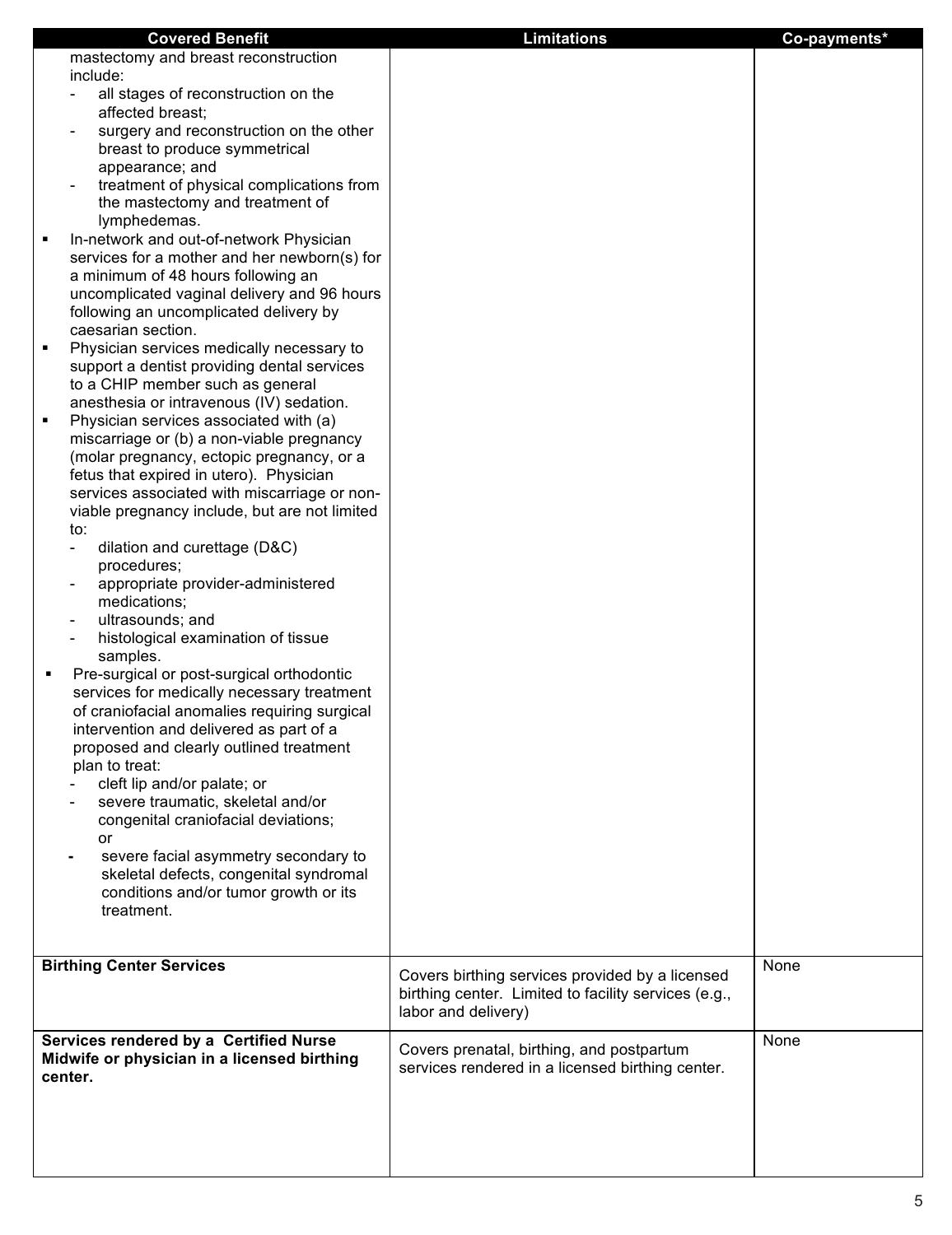| <b>Covered Benefit</b>                                                                                                                                                                                                                                                                                                                                                                                                                                                                                                                                                                                                                                                                                                                                                                                                                                                                                                                                                                                                                                                                                                                                                                                                                                                                                                                                                                                                                                                                                                                                                                                                                                                                                                                                    | <b>Limitations</b>                                                                                                             | Co-payments* |
|-----------------------------------------------------------------------------------------------------------------------------------------------------------------------------------------------------------------------------------------------------------------------------------------------------------------------------------------------------------------------------------------------------------------------------------------------------------------------------------------------------------------------------------------------------------------------------------------------------------------------------------------------------------------------------------------------------------------------------------------------------------------------------------------------------------------------------------------------------------------------------------------------------------------------------------------------------------------------------------------------------------------------------------------------------------------------------------------------------------------------------------------------------------------------------------------------------------------------------------------------------------------------------------------------------------------------------------------------------------------------------------------------------------------------------------------------------------------------------------------------------------------------------------------------------------------------------------------------------------------------------------------------------------------------------------------------------------------------------------------------------------|--------------------------------------------------------------------------------------------------------------------------------|--------------|
| mastectomy and breast reconstruction<br>include:<br>all stages of reconstruction on the<br>affected breast;<br>surgery and reconstruction on the other<br>breast to produce symmetrical<br>appearance; and<br>treatment of physical complications from<br>the mastectomy and treatment of<br>lymphedemas.<br>In-network and out-of-network Physician<br>services for a mother and her newborn(s) for<br>a minimum of 48 hours following an<br>uncomplicated vaginal delivery and 96 hours<br>following an uncomplicated delivery by<br>caesarian section.<br>Physician services medically necessary to<br>٠<br>support a dentist providing dental services<br>to a CHIP member such as general<br>anesthesia or intravenous (IV) sedation.<br>Physician services associated with (a)<br>miscarriage or (b) a non-viable pregnancy<br>(molar pregnancy, ectopic pregnancy, or a<br>fetus that expired in utero). Physician<br>services associated with miscarriage or non-<br>viable pregnancy include, but are not limited<br>to:<br>dilation and curettage (D&C)<br>$\overline{\phantom{a}}$<br>procedures;<br>appropriate provider-administered<br>medications;<br>ultrasounds; and<br>histological examination of tissue<br>samples.<br>Pre-surgical or post-surgical orthodontic<br>٠<br>services for medically necessary treatment<br>of craniofacial anomalies requiring surgical<br>intervention and delivered as part of a<br>proposed and clearly outlined treatment<br>plan to treat:<br>cleft lip and/or palate; or<br>severe traumatic, skeletal and/or<br>congenital craniofacial deviations;<br>or<br>severe facial asymmetry secondary to<br>skeletal defects, congenital syndromal<br>conditions and/or tumor growth or its<br>treatment. |                                                                                                                                |              |
|                                                                                                                                                                                                                                                                                                                                                                                                                                                                                                                                                                                                                                                                                                                                                                                                                                                                                                                                                                                                                                                                                                                                                                                                                                                                                                                                                                                                                                                                                                                                                                                                                                                                                                                                                           |                                                                                                                                |              |
| <b>Birthing Center Services</b>                                                                                                                                                                                                                                                                                                                                                                                                                                                                                                                                                                                                                                                                                                                                                                                                                                                                                                                                                                                                                                                                                                                                                                                                                                                                                                                                                                                                                                                                                                                                                                                                                                                                                                                           | Covers birthing services provided by a licensed<br>birthing center. Limited to facility services (e.g.,<br>labor and delivery) | None         |
| Services rendered by a Certified Nurse<br>Midwife or physician in a licensed birthing<br>center.                                                                                                                                                                                                                                                                                                                                                                                                                                                                                                                                                                                                                                                                                                                                                                                                                                                                                                                                                                                                                                                                                                                                                                                                                                                                                                                                                                                                                                                                                                                                                                                                                                                          | Covers prenatal, birthing, and postpartum<br>services rendered in a licensed birthing center.                                  | None         |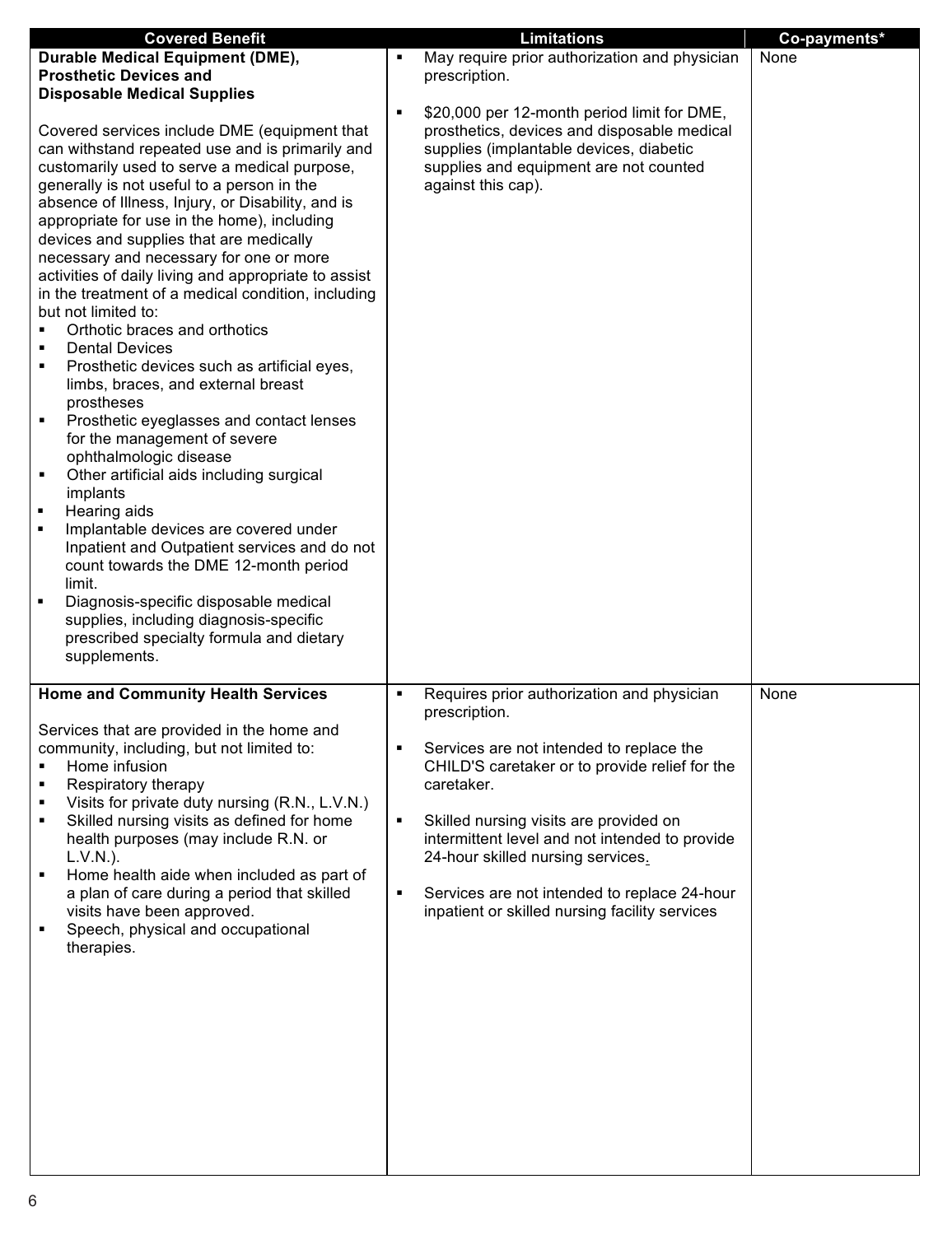| <b>Covered Benefit</b>                                                                  | <b>Limitations</b>                                 | Co-payments* |
|-----------------------------------------------------------------------------------------|----------------------------------------------------|--------------|
| <b>Durable Medical Equipment (DME),</b>                                                 | May require prior authorization and physician<br>٠ | None         |
| <b>Prosthetic Devices and</b>                                                           | prescription.                                      |              |
| <b>Disposable Medical Supplies</b>                                                      |                                                    |              |
|                                                                                         | \$20,000 per 12-month period limit for DME,<br>٠   |              |
| Covered services include DME (equipment that                                            | prosthetics, devices and disposable medical        |              |
| can withstand repeated use and is primarily and                                         | supplies (implantable devices, diabetic            |              |
| customarily used to serve a medical purpose,                                            | supplies and equipment are not counted             |              |
| generally is not useful to a person in the                                              | against this cap).                                 |              |
| absence of Illness, Injury, or Disability, and is                                       |                                                    |              |
| appropriate for use in the home), including                                             |                                                    |              |
| devices and supplies that are medically                                                 |                                                    |              |
| necessary and necessary for one or more                                                 |                                                    |              |
| activities of daily living and appropriate to assist                                    |                                                    |              |
| in the treatment of a medical condition, including                                      |                                                    |              |
| but not limited to:                                                                     |                                                    |              |
| Orthotic braces and orthotics                                                           |                                                    |              |
| <b>Dental Devices</b><br>п                                                              |                                                    |              |
| Prosthetic devices such as artificial eyes,<br>٠                                        |                                                    |              |
| limbs, braces, and external breast                                                      |                                                    |              |
| prostheses                                                                              |                                                    |              |
| Prosthetic eyeglasses and contact lenses<br>٠                                           |                                                    |              |
| for the management of severe                                                            |                                                    |              |
| ophthalmologic disease                                                                  |                                                    |              |
| Other artificial aids including surgical<br>٠                                           |                                                    |              |
| implants                                                                                |                                                    |              |
| Hearing aids<br>٠                                                                       |                                                    |              |
| Implantable devices are covered under<br>٠                                              |                                                    |              |
| Inpatient and Outpatient services and do not                                            |                                                    |              |
| count towards the DME 12-month period                                                   |                                                    |              |
| limit.                                                                                  |                                                    |              |
| Diagnosis-specific disposable medical<br>٠                                              |                                                    |              |
| supplies, including diagnosis-specific                                                  |                                                    |              |
| prescribed specialty formula and dietary                                                |                                                    |              |
| supplements.                                                                            |                                                    |              |
|                                                                                         |                                                    |              |
| <b>Home and Community Health Services</b>                                               | Requires prior authorization and physician<br>٠    | None         |
|                                                                                         | prescription.                                      |              |
| Services that are provided in the home and<br>community, including, but not limited to: | Services are not intended to replace the           |              |
| Home infusion                                                                           | CHILD'S caretaker or to provide relief for the     |              |
| Respiratory therapy                                                                     | caretaker.                                         |              |
| Visits for private duty nursing (R.N., L.V.N.)                                          |                                                    |              |
| Skilled nursing visits as defined for home                                              | Skilled nursing visits are provided on<br>٠        |              |
| health purposes (may include R.N. or                                                    | intermittent level and not intended to provide     |              |
| L.V.N.).                                                                                | 24-hour skilled nursing services.                  |              |
| Home health aide when included as part of<br>٠                                          |                                                    |              |
| a plan of care during a period that skilled                                             | Services are not intended to replace 24-hour<br>٠  |              |
| visits have been approved.                                                              | inpatient or skilled nursing facility services     |              |
| Speech, physical and occupational                                                       |                                                    |              |
| therapies.                                                                              |                                                    |              |
|                                                                                         |                                                    |              |
|                                                                                         |                                                    |              |
|                                                                                         |                                                    |              |
|                                                                                         |                                                    |              |
|                                                                                         |                                                    |              |
|                                                                                         |                                                    |              |
|                                                                                         |                                                    |              |
|                                                                                         |                                                    |              |
|                                                                                         |                                                    |              |
|                                                                                         |                                                    |              |
|                                                                                         |                                                    |              |
|                                                                                         |                                                    |              |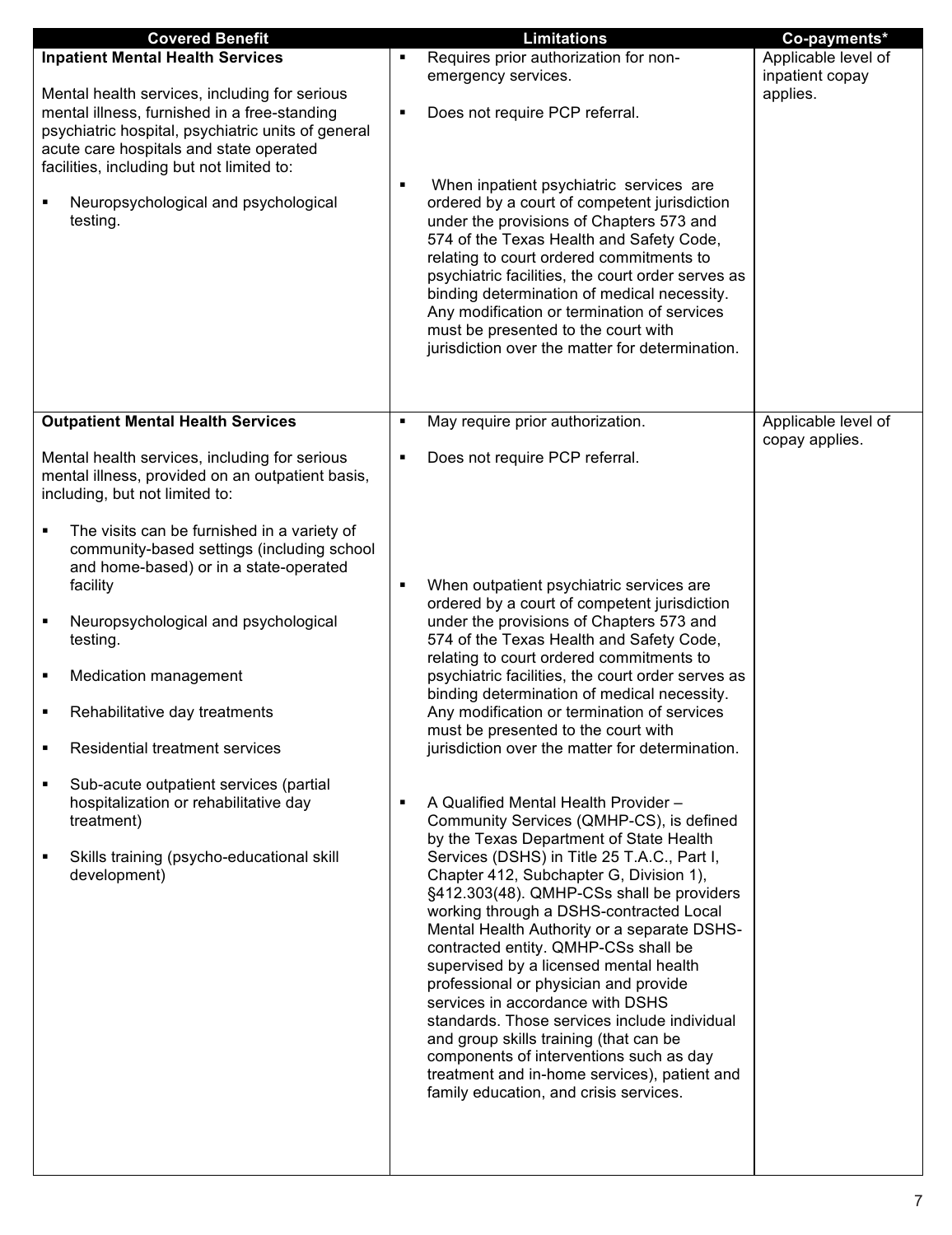| Requires prior authorization for non-                                                                                                                                                                                                                                                                                                                                                                                                                                                                                                                                                                                                                                                                                                                                                                                                                                                                                                                                                                                                                                                                                                                                                                                                   | Applicable level of              |
|-----------------------------------------------------------------------------------------------------------------------------------------------------------------------------------------------------------------------------------------------------------------------------------------------------------------------------------------------------------------------------------------------------------------------------------------------------------------------------------------------------------------------------------------------------------------------------------------------------------------------------------------------------------------------------------------------------------------------------------------------------------------------------------------------------------------------------------------------------------------------------------------------------------------------------------------------------------------------------------------------------------------------------------------------------------------------------------------------------------------------------------------------------------------------------------------------------------------------------------------|----------------------------------|
| emergency services.                                                                                                                                                                                                                                                                                                                                                                                                                                                                                                                                                                                                                                                                                                                                                                                                                                                                                                                                                                                                                                                                                                                                                                                                                     | inpatient copay                  |
| Does not require PCP referral.<br>٠                                                                                                                                                                                                                                                                                                                                                                                                                                                                                                                                                                                                                                                                                                                                                                                                                                                                                                                                                                                                                                                                                                                                                                                                     | applies.                         |
| When inpatient psychiatric services are<br>ordered by a court of competent jurisdiction<br>under the provisions of Chapters 573 and<br>574 of the Texas Health and Safety Code,<br>relating to court ordered commitments to<br>psychiatric facilities, the court order serves as<br>binding determination of medical necessity.<br>Any modification or termination of services<br>must be presented to the court with<br>jurisdiction over the matter for determination.                                                                                                                                                                                                                                                                                                                                                                                                                                                                                                                                                                                                                                                                                                                                                                |                                  |
| ٠                                                                                                                                                                                                                                                                                                                                                                                                                                                                                                                                                                                                                                                                                                                                                                                                                                                                                                                                                                                                                                                                                                                                                                                                                                       | Applicable level of              |
| Does not require PCP referral.<br>٠                                                                                                                                                                                                                                                                                                                                                                                                                                                                                                                                                                                                                                                                                                                                                                                                                                                                                                                                                                                                                                                                                                                                                                                                     | copay applies.                   |
| When outpatient psychiatric services are<br>ordered by a court of competent jurisdiction<br>under the provisions of Chapters 573 and<br>574 of the Texas Health and Safety Code,<br>relating to court ordered commitments to<br>psychiatric facilities, the court order serves as<br>binding determination of medical necessity.<br>Any modification or termination of services<br>must be presented to the court with<br>jurisdiction over the matter for determination.<br>A Qualified Mental Health Provider -<br>Community Services (QMHP-CS), is defined<br>by the Texas Department of State Health<br>Services (DSHS) in Title 25 T.A.C., Part I,<br>Chapter 412, Subchapter G, Division 1),<br>§412.303(48). QMHP-CSs shall be providers<br>working through a DSHS-contracted Local<br>Mental Health Authority or a separate DSHS-<br>contracted entity. QMHP-CSs shall be<br>supervised by a licensed mental health<br>professional or physician and provide<br>services in accordance with DSHS<br>standards. Those services include individual<br>and group skills training (that can be<br>components of interventions such as day<br>treatment and in-home services), patient and<br>family education, and crisis services. |                                  |
|                                                                                                                                                                                                                                                                                                                                                                                                                                                                                                                                                                                                                                                                                                                                                                                                                                                                                                                                                                                                                                                                                                                                                                                                                                         | May require prior authorization. |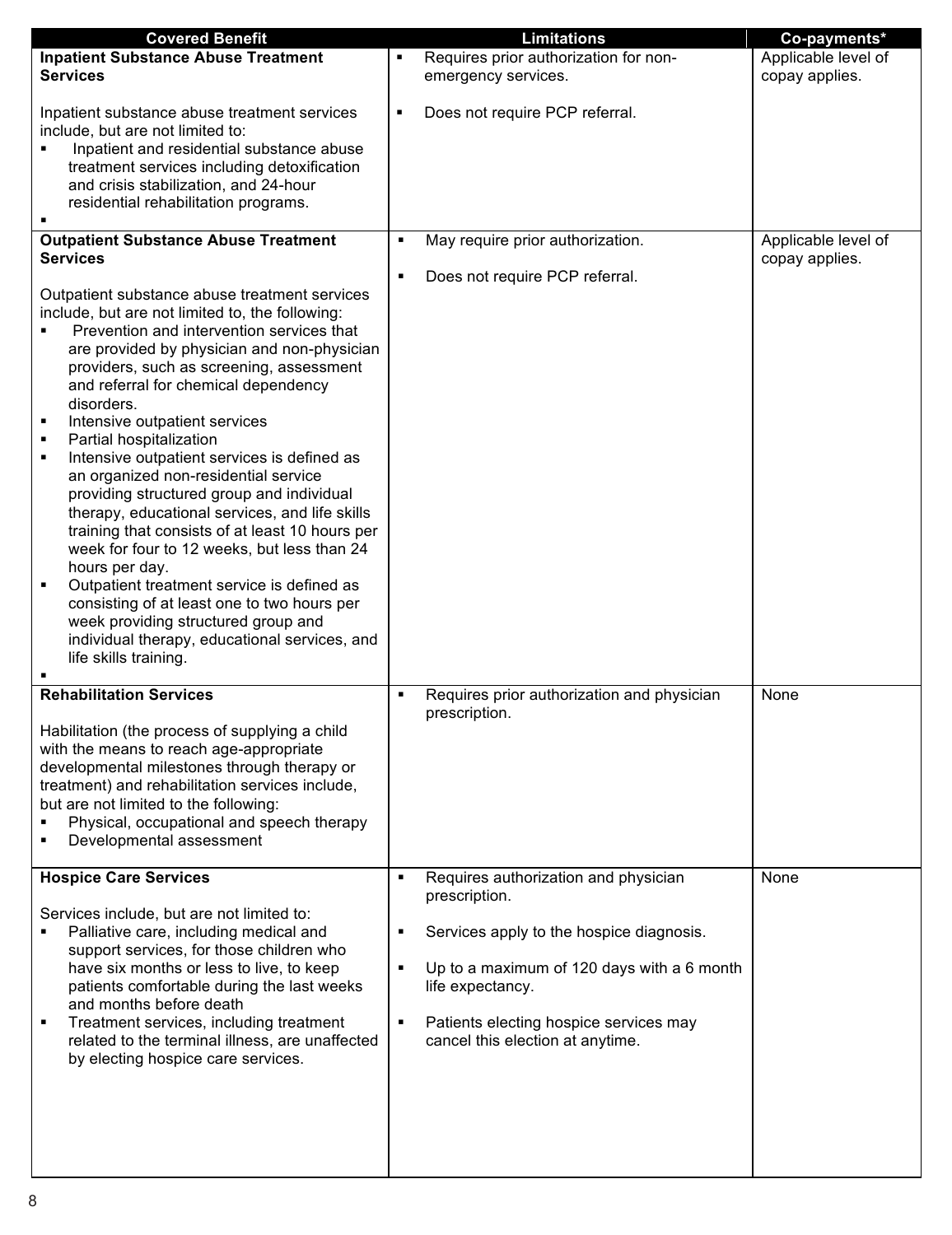| <b>Covered Benefit</b>                                                                                                                                                                                                                                                                                                                                                                                                                                                                                                                                                                                                                                                                                                                                   |                                                                    | <b>Limitations</b>                                                                                                                                                                                           | Co-payments*                          |
|----------------------------------------------------------------------------------------------------------------------------------------------------------------------------------------------------------------------------------------------------------------------------------------------------------------------------------------------------------------------------------------------------------------------------------------------------------------------------------------------------------------------------------------------------------------------------------------------------------------------------------------------------------------------------------------------------------------------------------------------------------|--------------------------------------------------------------------|--------------------------------------------------------------------------------------------------------------------------------------------------------------------------------------------------------------|---------------------------------------|
| <b>Inpatient Substance Abuse Treatment</b>                                                                                                                                                                                                                                                                                                                                                                                                                                                                                                                                                                                                                                                                                                               | ٠                                                                  | Requires prior authorization for non-                                                                                                                                                                        | Applicable level of                   |
| <b>Services</b>                                                                                                                                                                                                                                                                                                                                                                                                                                                                                                                                                                                                                                                                                                                                          |                                                                    | emergency services.                                                                                                                                                                                          | copay applies.                        |
| Inpatient substance abuse treatment services<br>include, but are not limited to:<br>Inpatient and residential substance abuse<br>treatment services including detoxification<br>and crisis stabilization, and 24-hour<br>residential rehabilitation programs.<br><b>Outpatient Substance Abuse Treatment</b><br><b>Services</b><br>Outpatient substance abuse treatment services<br>include, but are not limited to, the following:<br>Prevention and intervention services that                                                                                                                                                                                                                                                                         | ٠<br>٠<br>٠                                                        | Does not require PCP referral.<br>May require prior authorization.<br>Does not require PCP referral.                                                                                                         | Applicable level of<br>copay applies. |
| are provided by physician and non-physician<br>providers, such as screening, assessment<br>and referral for chemical dependency<br>disorders.<br>Intensive outpatient services<br>٠<br>Partial hospitalization<br>Intensive outpatient services is defined as<br>an organized non-residential service<br>providing structured group and individual<br>therapy, educational services, and life skills<br>training that consists of at least 10 hours per<br>week for four to 12 weeks, but less than 24<br>hours per day.<br>Outpatient treatment service is defined as<br>$\blacksquare$<br>consisting of at least one to two hours per<br>week providing structured group and<br>individual therapy, educational services, and<br>life skills training. |                                                                    |                                                                                                                                                                                                              |                                       |
| <b>Rehabilitation Services</b>                                                                                                                                                                                                                                                                                                                                                                                                                                                                                                                                                                                                                                                                                                                           | ٠                                                                  | Requires prior authorization and physician                                                                                                                                                                   | None                                  |
| Habilitation (the process of supplying a child<br>with the means to reach age-appropriate<br>developmental milestones through therapy or<br>treatment) and rehabilitation services include,<br>but are not limited to the following:<br>Physical, occupational and speech therapy<br>Developmental assessment                                                                                                                                                                                                                                                                                                                                                                                                                                            | prescription.                                                      |                                                                                                                                                                                                              |                                       |
| <b>Hospice Care Services</b><br>Services include, but are not limited to:<br>Palliative care, including medical and<br>support services, for those children who<br>have six months or less to live, to keep<br>patients comfortable during the last weeks<br>and months before death<br>Treatment services, including treatment<br>related to the terminal illness, are unaffected<br>by electing hospice care services.                                                                                                                                                                                                                                                                                                                                 | $\blacksquare$<br>prescription.<br>٠<br>٠<br>life expectancy.<br>٠ | Requires authorization and physician<br>Services apply to the hospice diagnosis.<br>Up to a maximum of 120 days with a 6 month<br>Patients electing hospice services may<br>cancel this election at anytime. | None                                  |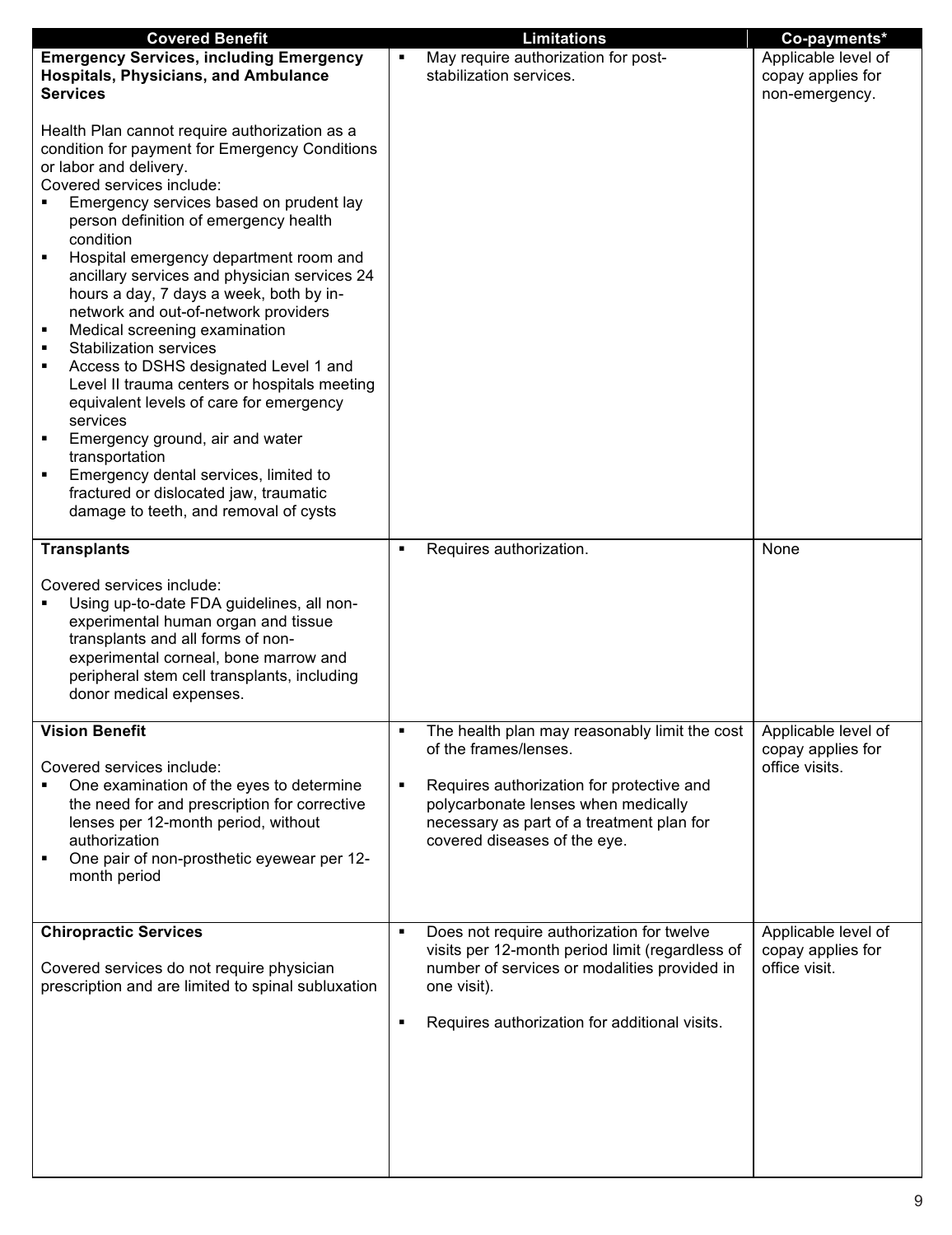| <b>Covered Benefit</b>                                                                                                                                                                                                                                                                                                                                                                                                                                                                                                                                                                                                                                                                                                                                                                                                                                           | <b>Limitations</b>                                                                                                                                                                                                                                  | Co-payments*                                               |
|------------------------------------------------------------------------------------------------------------------------------------------------------------------------------------------------------------------------------------------------------------------------------------------------------------------------------------------------------------------------------------------------------------------------------------------------------------------------------------------------------------------------------------------------------------------------------------------------------------------------------------------------------------------------------------------------------------------------------------------------------------------------------------------------------------------------------------------------------------------|-----------------------------------------------------------------------------------------------------------------------------------------------------------------------------------------------------------------------------------------------------|------------------------------------------------------------|
| <b>Emergency Services, including Emergency</b><br><b>Hospitals, Physicians, and Ambulance</b><br><b>Services</b>                                                                                                                                                                                                                                                                                                                                                                                                                                                                                                                                                                                                                                                                                                                                                 | May require authorization for post-<br>٠<br>stabilization services.                                                                                                                                                                                 | Applicable level of<br>copay applies for<br>non-emergency. |
| Health Plan cannot require authorization as a<br>condition for payment for Emergency Conditions<br>or labor and delivery.<br>Covered services include:<br>Emergency services based on prudent lay<br>person definition of emergency health<br>condition<br>Hospital emergency department room and<br>Ξ<br>ancillary services and physician services 24<br>hours a day, 7 days a week, both by in-<br>network and out-of-network providers<br>Medical screening examination<br>٠<br><b>Stabilization services</b><br>٠<br>Access to DSHS designated Level 1 and<br>٠<br>Level II trauma centers or hospitals meeting<br>equivalent levels of care for emergency<br>services<br>Emergency ground, air and water<br>٠<br>transportation<br>Emergency dental services, limited to<br>fractured or dislocated jaw, traumatic<br>damage to teeth, and removal of cysts |                                                                                                                                                                                                                                                     |                                                            |
| <b>Transplants</b>                                                                                                                                                                                                                                                                                                                                                                                                                                                                                                                                                                                                                                                                                                                                                                                                                                               | Requires authorization.<br>٠                                                                                                                                                                                                                        | None                                                       |
| Covered services include:<br>Using up-to-date FDA guidelines, all non-<br>experimental human organ and tissue<br>transplants and all forms of non-<br>experimental corneal, bone marrow and<br>peripheral stem cell transplants, including<br>donor medical expenses.                                                                                                                                                                                                                                                                                                                                                                                                                                                                                                                                                                                            |                                                                                                                                                                                                                                                     |                                                            |
| <b>Vision Benefit</b><br>Covered services include:<br>One examination of the eyes to determine<br>the need for and prescription for corrective<br>lenses per 12-month period, without<br>authorization<br>One pair of non-prosthetic eyewear per 12-<br>month period                                                                                                                                                                                                                                                                                                                                                                                                                                                                                                                                                                                             | The health plan may reasonably limit the cost  <br>٠<br>of the frames/lenses.<br>Requires authorization for protective and<br>٠<br>polycarbonate lenses when medically<br>necessary as part of a treatment plan for<br>covered diseases of the eye. | Applicable level of<br>copay applies for<br>office visits. |
| <b>Chiropractic Services</b><br>Covered services do not require physician<br>prescription and are limited to spinal subluxation                                                                                                                                                                                                                                                                                                                                                                                                                                                                                                                                                                                                                                                                                                                                  | Does not require authorization for twelve<br>visits per 12-month period limit (regardless of<br>number of services or modalities provided in<br>one visit).<br>Requires authorization for additional visits.<br>٠                                   | Applicable level of<br>copay applies for<br>office visit.  |
|                                                                                                                                                                                                                                                                                                                                                                                                                                                                                                                                                                                                                                                                                                                                                                                                                                                                  |                                                                                                                                                                                                                                                     |                                                            |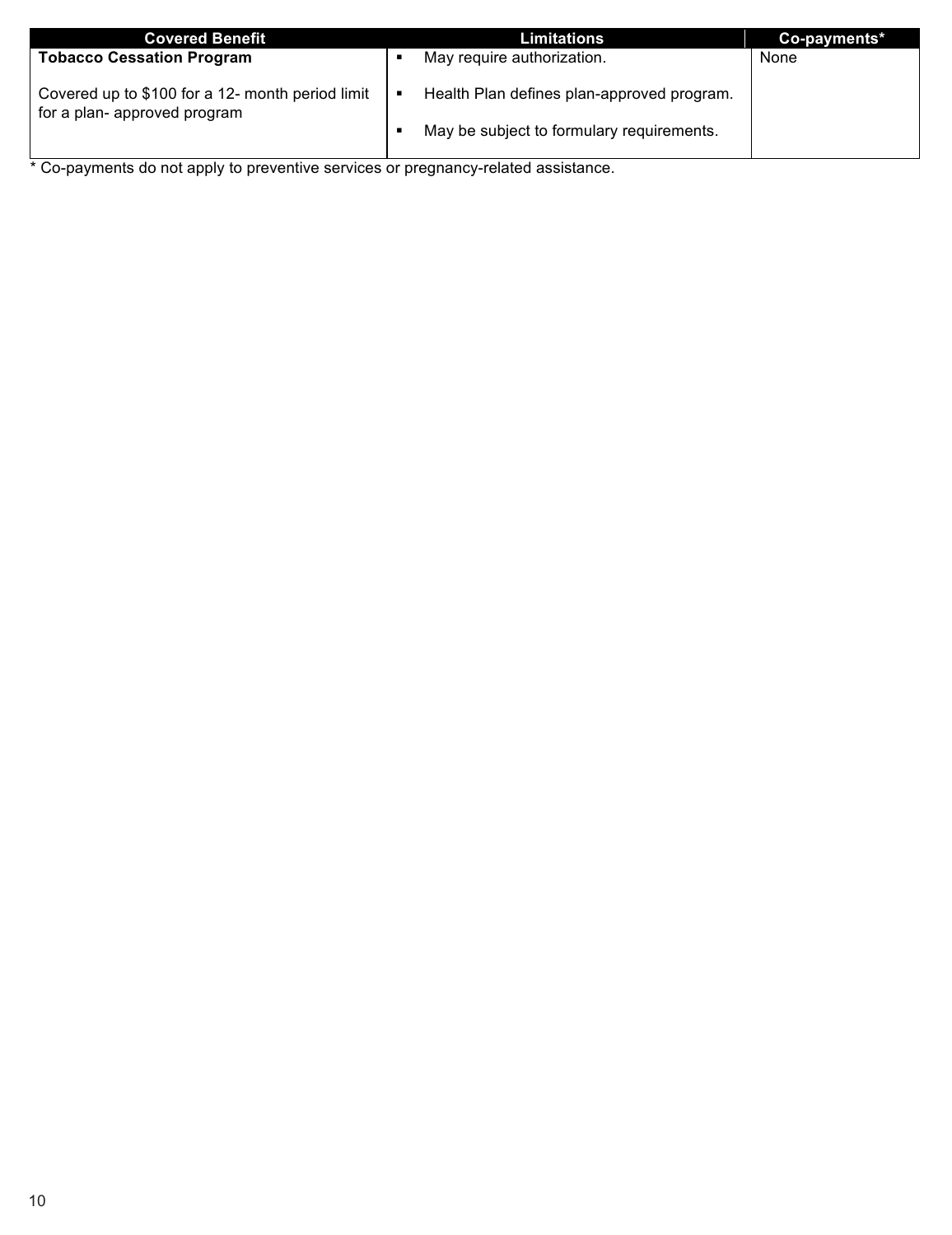| <b>Covered Benefit</b>                                                           | <b>Limitations</b>                         | Co-payments* |
|----------------------------------------------------------------------------------|--------------------------------------------|--------------|
| <b>Tobacco Cessation Program</b>                                                 | May require authorization.                 | None         |
| Covered up to \$100 for a 12- month period limit<br>for a plan- approved program | Health Plan defines plan-approved program. |              |
|                                                                                  | May be subject to formulary requirements.  |              |

\* Co-payments do not apply to preventive services or pregnancy-related assistance.